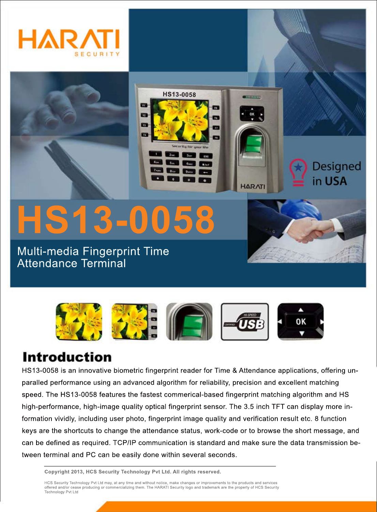



**STV FOR RT** m

Multi-media Fingerprint Time Attendance Terminal



**HS13-0058**

14.00

**annon** 

**HARATI** 

**Designed** 

in USA

## **Introduction**

HS13-0058 is an innovative biometric fingerprint reader for Time & Attendance applications, offering unparalled performance using an advanced algorithm for reliability, precision and excellent matching speed. The HS13-0058 features the fastest commerical-based fingerprint matching algorithm and HS high-performance, high-image quality optical fingerprint sensor. The 3.5 inch TFT can display more information vividly, including user photo, fingerprint image quality and verification result etc. 8 function keys are the shortcuts to change the attendance status, work-code or to browse the short message, and can be defined as required. TCP/IP communication is standard and make sure the data transmission between terminal and PC can be easily done within several seconds.

**Copyright 2013, HCS Security Technology Pvt Ltd. All rights reserved.**

HCS Security Technology Pvt Ltd may, at any time and without notice, make changes or improvements to the products and services offered and/or cease producing or commercializing them. The HARATI Security logo and trademark are the property of HCS Security Technology Pvt Ltd